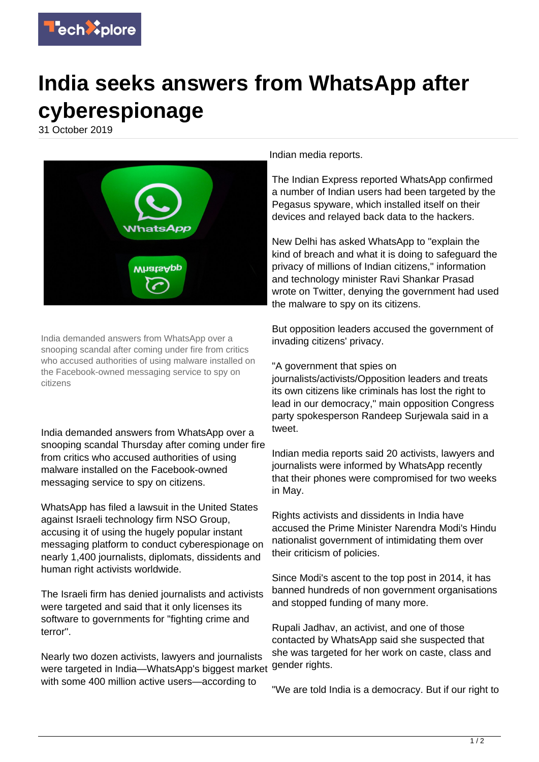

## **India seeks answers from WhatsApp after cyberespionage**

31 October 2019



India demanded answers from WhatsApp over a snooping scandal after coming under fire from critics who accused authorities of using malware installed on the Facebook-owned messaging service to spy on citizens

India demanded answers from WhatsApp over a snooping scandal Thursday after coming under fire from critics who accused authorities of using malware installed on the Facebook-owned messaging service to spy on citizens.

WhatsApp has filed a lawsuit in the United States against Israeli technology firm NSO Group, accusing it of using the hugely popular instant messaging platform to conduct cyberespionage on nearly 1,400 journalists, diplomats, dissidents and human right activists worldwide.

The Israeli firm has denied journalists and activists were targeted and said that it only licenses its software to governments for "fighting crime and terror".

Nearly two dozen activists, lawyers and journalists were targeted in India—WhatsApp's biggest market with some 400 million active users—according to

Indian media reports.

The Indian Express reported WhatsApp confirmed a number of Indian users had been targeted by the Pegasus spyware, which installed itself on their devices and relayed back data to the hackers.

New Delhi has asked WhatsApp to "explain the kind of breach and what it is doing to safeguard the privacy of millions of Indian citizens," information and technology minister Ravi Shankar Prasad wrote on Twitter, denying the government had used the malware to spy on its citizens.

But opposition leaders accused the government of invading citizens' privacy.

## "A government that spies on

journalists/activists/Opposition leaders and treats its own citizens like criminals has lost the right to lead in our democracy," main opposition Congress party spokesperson Randeep Surjewala said in a tweet.

Indian media reports said 20 activists, lawyers and journalists were informed by WhatsApp recently that their phones were compromised for two weeks in May.

Rights activists and dissidents in India have accused the Prime Minister Narendra Modi's Hindu nationalist government of intimidating them over their criticism of policies.

Since Modi's ascent to the top post in 2014, it has banned hundreds of non government organisations and stopped funding of many more.

Rupali Jadhav, an activist, and one of those contacted by WhatsApp said she suspected that she was targeted for her work on caste, class and gender rights.

"We are told India is a democracy. But if our right to